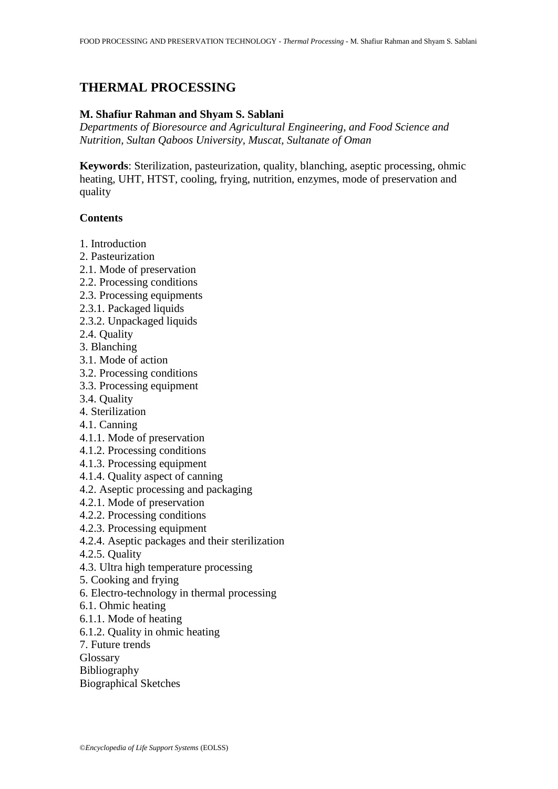# **THERMAL PROCESSING**

# **M. Shafiur Rahman and Shyam S. Sablani**

*Departments of Bioresource and Agricultural Engineering, and Food Science and Nutrition, Sultan Qaboos University, Muscat, Sultanate of Oman*

**Keywords**: Sterilization, pasteurization, quality, blanching, aseptic processing, ohmic heating, UHT, HTST, cooling, frying, nutrition, enzymes, mode of preservation and quality

#### **Contents**

- 1. Introduction
- 2. Pasteurization
- 2.1. Mode of preservation
- 2.2. Processing conditions
- 2.3. Processing equipments
- 2.3.1. Packaged liquids
- 2.3.2. Unpackaged liquids
- 2.4. Quality
- 3. Blanching
- 3.1. Mode of action
- 3.2. Processing conditions
- 3.3. Processing equipment
- 3.4. Quality
- 4. Sterilization
- 4.1. Canning
- 4.1.1. Mode of preservation
- 4.1.2. Processing conditions
- 4.1.3. Processing equipment
- 4.1.4. Quality aspect of canning
- 4.2. Aseptic processing and packaging
- 4.2.1. Mode of preservation
- 4.2.2. Processing conditions
- 4.2.3. Processing equipment
- 4.2.4. Aseptic packages and their sterilization
- 4.2.5. Quality
- 4.3. Ultra high temperature processing
- 5. Cooking and frying
- 6. Electro-technology in thermal processing
- 6.1. Ohmic heating
- 6.1.1. Mode of heating
- 6.1.2. Quality in ohmic heating
- 7. Future trends
- Glossary
- Bibliography
- Biographical Sketches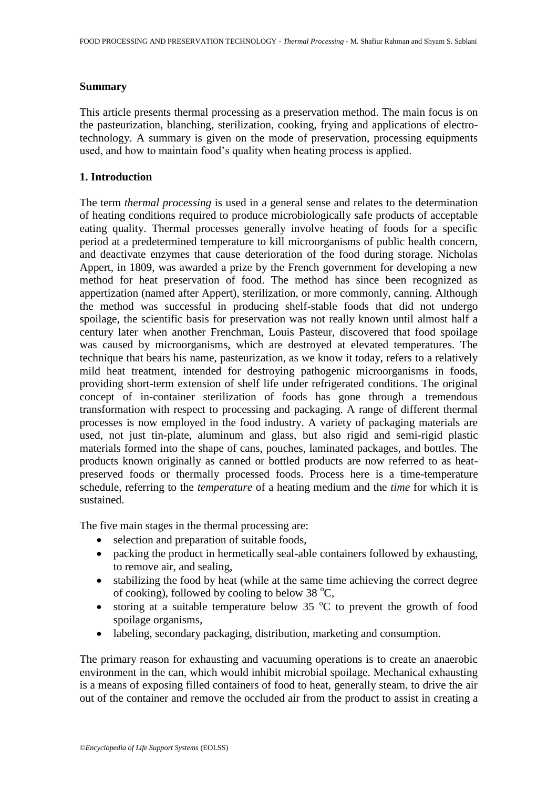### **Summary**

This article presents thermal processing as a preservation method. The main focus is on the pasteurization, blanching, sterilization, cooking, frying and applications of electrotechnology. A summary is given on the mode of preservation, processing equipments used, and how to maintain food's quality when heating process is applied.

# **1. Introduction**

The term *thermal processing* is used in a general sense and relates to the determination of heating conditions required to produce microbiologically safe products of acceptable eating quality. Thermal processes generally involve heating of foods for a specific period at a predetermined temperature to kill microorganisms of public health concern, and deactivate enzymes that cause deterioration of the food during storage. Nicholas Appert, in 1809, was awarded a prize by the French government for developing a new method for heat preservation of food. The method has since been recognized as appertization (named after Appert), sterilization, or more commonly, canning. Although the method was successful in producing shelf-stable foods that did not undergo spoilage, the scientific basis for preservation was not really known until almost half a century later when another Frenchman, Louis Pasteur, discovered that food spoilage was caused by microorganisms, which are destroyed at elevated temperatures. The technique that bears his name, pasteurization, as we know it today, refers to a relatively mild heat treatment, intended for destroying pathogenic microorganisms in foods, providing short-term extension of shelf life under refrigerated conditions. The original concept of in-container sterilization of foods has gone through a tremendous transformation with respect to processing and packaging. A range of different thermal processes is now employed in the food industry. A variety of packaging materials are used, not just tin-plate, aluminum and glass, but also rigid and semi-rigid plastic materials formed into the shape of cans, pouches, laminated packages, and bottles. The products known originally as canned or bottled products are now referred to as heatpreserved foods or thermally processed foods. Process here is a time-temperature schedule, referring to the *temperature* of a heating medium and the *time* for which it is sustained.

The five main stages in the thermal processing are:

- selection and preparation of suitable foods,
- packing the product in hermetically seal-able containers followed by exhausting, to remove air, and sealing,
- stabilizing the food by heat (while at the same time achieving the correct degree of cooking), followed by cooling to below 38  $^{\circ}C$ ,
- storing at a suitable temperature below 35  $\degree$ C to prevent the growth of food spoilage organisms,
- labeling, secondary packaging, distribution, marketing and consumption.

The primary reason for exhausting and vacuuming operations is to create an anaerobic environment in the can, which would inhibit microbial spoilage. Mechanical exhausting is a means of exposing filled containers of food to heat, generally steam, to drive the air out of the container and remove the occluded air from the product to assist in creating a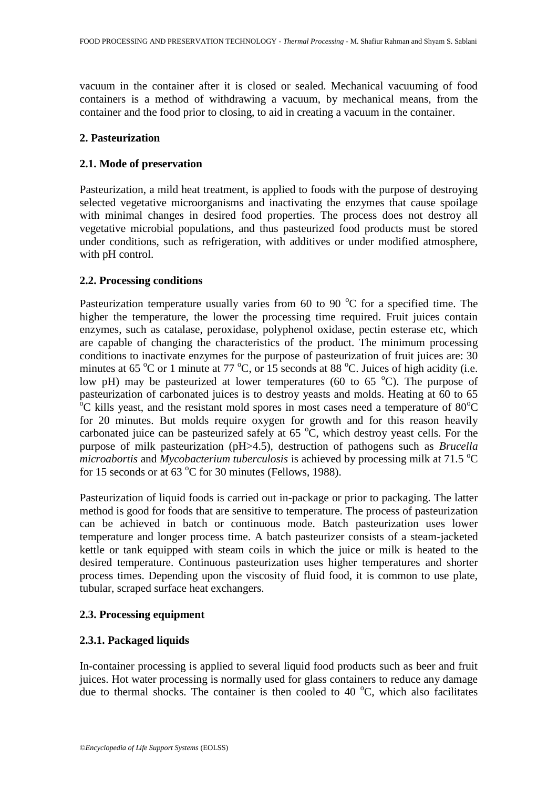vacuum in the container after it is closed or sealed. Mechanical vacuuming of food containers is a method of withdrawing a vacuum, by mechanical means, from the container and the food prior to closing, to aid in creating a vacuum in the container.

# **2. Pasteurization**

# **2.1. Mode of preservation**

Pasteurization, a mild heat treatment, is applied to foods with the purpose of destroying selected vegetative microorganisms and inactivating the enzymes that cause spoilage with minimal changes in desired food properties. The process does not destroy all vegetative microbial populations, and thus pasteurized food products must be stored under conditions, such as refrigeration, with additives or under modified atmosphere, with pH control.

### **2.2. Processing conditions**

Pasteurization temperature usually varies from 60 to 90  $^{\circ}$ C for a specified time. The higher the temperature, the lower the processing time required. Fruit juices contain enzymes, such as catalase, peroxidase, polyphenol oxidase, pectin esterase etc, which are capable of changing the characteristics of the product. The minimum processing conditions to inactivate enzymes for the purpose of pasteurization of fruit juices are: 30 minutes at 65 °C or 1 minute at 77 °C, or 15 seconds at 88 °C. Juices of high acidity (i.e. low pH) may be pasteurized at lower temperatures (60 to 65  $^{\circ}$ C). The purpose of pasteurization of carbonated juices is to destroy yeasts and molds. Heating at 60 to 65  $\rm ^{o}C$  kills yeast, and the resistant mold spores in most cases need a temperature of 80 $\rm ^{o}C$ for 20 minutes. But molds require oxygen for growth and for this reason heavily carbonated juice can be pasteurized safely at  $65\,^{\circ}\text{C}$ , which destroy yeast cells. For the purpose of milk pasteurization (pH>4.5), destruction of pathogens such as *Brucella microabortis* and *Mycobacterium tuberculosis* is achieved by processing milk at 71.5  $^{\circ}$ C for 15 seconds or at  $63^{\circ}$ C for 30 minutes (Fellows, 1988).

Pasteurization of liquid foods is carried out in-package or prior to packaging. The latter method is good for foods that are sensitive to temperature. The process of pasteurization can be achieved in batch or continuous mode. Batch pasteurization uses lower temperature and longer process time. A batch pasteurizer consists of a steam-jacketed kettle or tank equipped with steam coils in which the juice or milk is heated to the desired temperature. Continuous pasteurization uses higher temperatures and shorter process times. Depending upon the viscosity of fluid food, it is common to use plate, tubular, scraped surface heat exchangers.

# **2.3. Processing equipment**

# **2.3.1. Packaged liquids**

In-container processing is applied to several liquid food products such as beer and fruit juices. Hot water processing is normally used for glass containers to reduce any damage due to thermal shocks. The container is then cooled to 40  $^{\circ}$ C, which also facilitates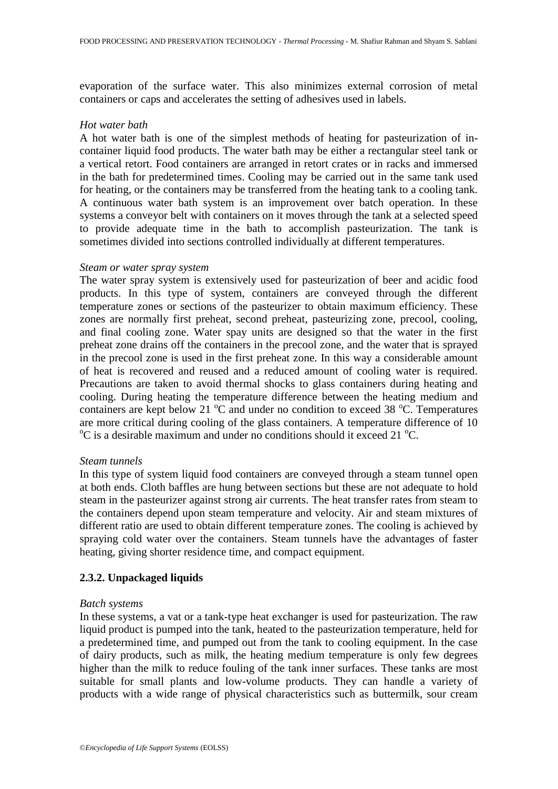evaporation of the surface water. This also minimizes external corrosion of metal containers or caps and accelerates the setting of adhesives used in labels.

#### *Hot water bath*

A hot water bath is one of the simplest methods of heating for pasteurization of incontainer liquid food products. The water bath may be either a rectangular steel tank or a vertical retort. Food containers are arranged in retort crates or in racks and immersed in the bath for predetermined times. Cooling may be carried out in the same tank used for heating, or the containers may be transferred from the heating tank to a cooling tank. A continuous water bath system is an improvement over batch operation. In these systems a conveyor belt with containers on it moves through the tank at a selected speed to provide adequate time in the bath to accomplish pasteurization. The tank is sometimes divided into sections controlled individually at different temperatures.

#### *Steam or water spray system*

The water spray system is extensively used for pasteurization of beer and acidic food products. In this type of system, containers are conveyed through the different temperature zones or sections of the pasteurizer to obtain maximum efficiency. These zones are normally first preheat, second preheat, pasteurizing zone, precool, cooling, and final cooling zone. Water spay units are designed so that the water in the first preheat zone drains off the containers in the precool zone, and the water that is sprayed in the precool zone is used in the first preheat zone. In this way a considerable amount of heat is recovered and reused and a reduced amount of cooling water is required. Precautions are taken to avoid thermal shocks to glass containers during heating and cooling. During heating the temperature difference between the heating medium and containers are kept below 21  $^{\circ}$ C and under no condition to exceed 38  $^{\circ}$ C. Temperatures are more critical during cooling of the glass containers. A temperature difference of 10  $\rm{^{\circ}C}$  is a desirable maximum and under no conditions should it exceed 21  $\rm{^{\circ}C}$ .

#### *Steam tunnels*

In this type of system liquid food containers are conveyed through a steam tunnel open at both ends. Cloth baffles are hung between sections but these are not adequate to hold steam in the pasteurizer against strong air currents. The heat transfer rates from steam to the containers depend upon steam temperature and velocity. Air and steam mixtures of different ratio are used to obtain different temperature zones. The cooling is achieved by spraying cold water over the containers. Steam tunnels have the advantages of faster heating, giving shorter residence time, and compact equipment.

#### **2.3.2. Unpackaged liquids**

#### *Batch systems*

In these systems, a vat or a tank-type heat exchanger is used for pasteurization. The raw liquid product is pumped into the tank, heated to the pasteurization temperature, held for a predetermined time, and pumped out from the tank to cooling equipment. In the case of dairy products, such as milk, the heating medium temperature is only few degrees higher than the milk to reduce fouling of the tank inner surfaces. These tanks are most suitable for small plants and low-volume products. They can handle a variety of products with a wide range of physical characteristics such as buttermilk, sour cream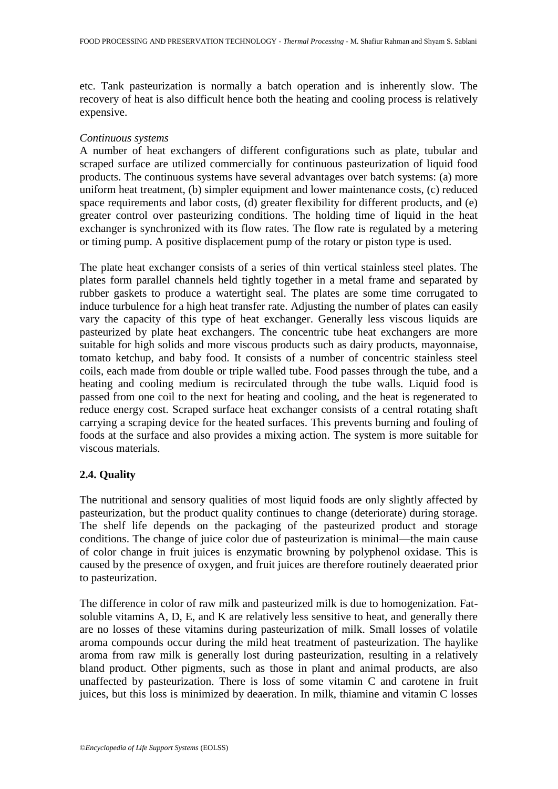etc. Tank pasteurization is normally a batch operation and is inherently slow. The recovery of heat is also difficult hence both the heating and cooling process is relatively expensive.

### *Continuous systems*

A number of heat exchangers of different configurations such as plate, tubular and scraped surface are utilized commercially for continuous pasteurization of liquid food products. The continuous systems have several advantages over batch systems: (a) more uniform heat treatment, (b) simpler equipment and lower maintenance costs, (c) reduced space requirements and labor costs, (d) greater flexibility for different products, and (e) greater control over pasteurizing conditions. The holding time of liquid in the heat exchanger is synchronized with its flow rates. The flow rate is regulated by a metering or timing pump. A positive displacement pump of the rotary or piston type is used.

The plate heat exchanger consists of a series of thin vertical stainless steel plates. The plates form parallel channels held tightly together in a metal frame and separated by rubber gaskets to produce a watertight seal. The plates are some time corrugated to induce turbulence for a high heat transfer rate. Adjusting the number of plates can easily vary the capacity of this type of heat exchanger. Generally less viscous liquids are pasteurized by plate heat exchangers. The concentric tube heat exchangers are more suitable for high solids and more viscous products such as dairy products, mayonnaise, tomato ketchup, and baby food. It consists of a number of concentric stainless steel coils, each made from double or triple walled tube. Food passes through the tube, and a heating and cooling medium is recirculated through the tube walls. Liquid food is passed from one coil to the next for heating and cooling, and the heat is regenerated to reduce energy cost. Scraped surface heat exchanger consists of a central rotating shaft carrying a scraping device for the heated surfaces. This prevents burning and fouling of foods at the surface and also provides a mixing action. The system is more suitable for viscous materials.

# **2.4. Quality**

The nutritional and sensory qualities of most liquid foods are only slightly affected by pasteurization, but the product quality continues to change (deteriorate) during storage. The shelf life depends on the packaging of the pasteurized product and storage conditions. The change of juice color due of pasteurization is minimal—the main cause of color change in fruit juices is enzymatic browning by polyphenol oxidase. This is caused by the presence of oxygen, and fruit juices are therefore routinely deaerated prior to pasteurization.

The difference in color of raw milk and pasteurized milk is due to homogenization. Fatsoluble vitamins A, D, E, and K are relatively less sensitive to heat, and generally there are no losses of these vitamins during pasteurization of milk. Small losses of volatile aroma compounds occur during the mild heat treatment of pasteurization. The haylike aroma from raw milk is generally lost during pasteurization, resulting in a relatively bland product. Other pigments, such as those in plant and animal products, are also unaffected by pasteurization. There is loss of some vitamin C and carotene in fruit juices, but this loss is minimized by deaeration. In milk, thiamine and vitamin C losses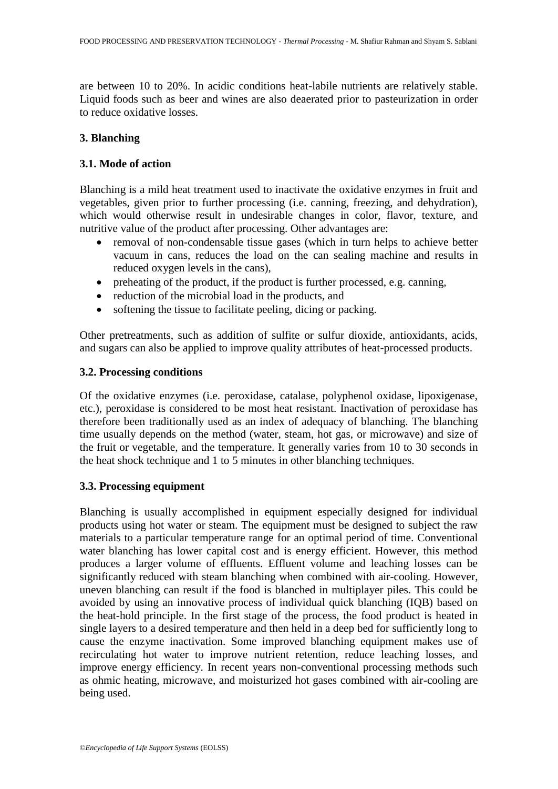are between 10 to 20%. In acidic conditions heat-labile nutrients are relatively stable. Liquid foods such as beer and wines are also deaerated prior to pasteurization in order to reduce oxidative losses.

# **3. Blanching**

# **3.1. Mode of action**

Blanching is a mild heat treatment used to inactivate the oxidative enzymes in fruit and vegetables, given prior to further processing (i.e. canning, freezing, and dehydration), which would otherwise result in undesirable changes in color, flavor, texture, and nutritive value of the product after processing. Other advantages are:

- removal of non-condensable tissue gases (which in turn helps to achieve better vacuum in cans, reduces the load on the can sealing machine and results in reduced oxygen levels in the cans),
- preheating of the product, if the product is further processed, e.g. canning,
- reduction of the microbial load in the products, and
- softening the tissue to facilitate peeling, dicing or packing.

Other pretreatments, such as addition of sulfite or sulfur dioxide, antioxidants, acids, and sugars can also be applied to improve quality attributes of heat-processed products.

# **3.2. Processing conditions**

Of the oxidative enzymes (i.e. peroxidase, catalase, polyphenol oxidase, lipoxigenase, etc.), peroxidase is considered to be most heat resistant. Inactivation of peroxidase has therefore been traditionally used as an index of adequacy of blanching. The blanching time usually depends on the method (water, steam, hot gas, or microwave) and size of the fruit or vegetable, and the temperature. It generally varies from 10 to 30 seconds in the heat shock technique and 1 to  $\overline{5}$  minutes in other blanching techniques.

# **3.3. Processing equipment**

Blanching is usually accomplished in equipment especially designed for individual products using hot water or steam. The equipment must be designed to subject the raw materials to a particular temperature range for an optimal period of time. Conventional water blanching has lower capital cost and is energy efficient. However, this method produces a larger volume of effluents. Effluent volume and leaching losses can be significantly reduced with steam blanching when combined with air-cooling. However, uneven blanching can result if the food is blanched in multiplayer piles. This could be avoided by using an innovative process of individual quick blanching (IQB) based on the heat-hold principle. In the first stage of the process, the food product is heated in single layers to a desired temperature and then held in a deep bed for sufficiently long to cause the enzyme inactivation. Some improved blanching equipment makes use of recirculating hot water to improve nutrient retention, reduce leaching losses, and improve energy efficiency. In recent years non-conventional processing methods such as ohmic heating, microwave, and moisturized hot gases combined with air-cooling are being used.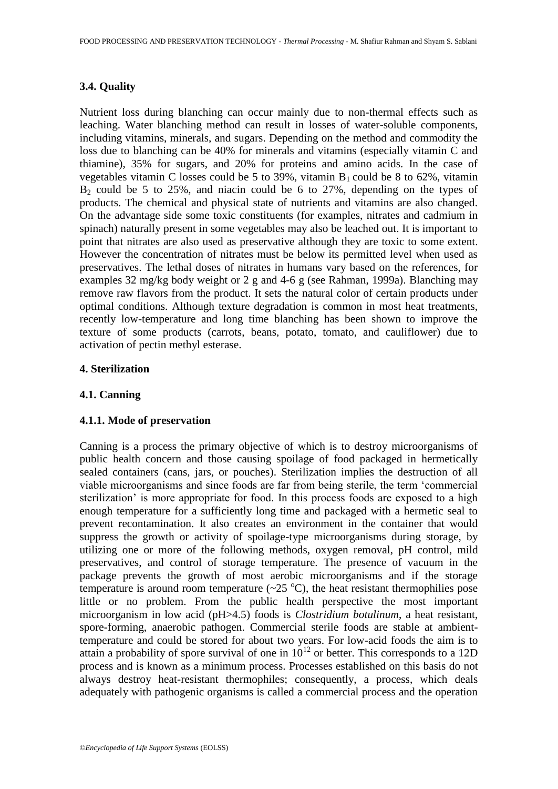# **3.4. Quality**

Nutrient loss during blanching can occur mainly due to non-thermal effects such as leaching. Water blanching method can result in losses of water-soluble components, including vitamins, minerals, and sugars. Depending on the method and commodity the loss due to blanching can be 40% for minerals and vitamins (especially vitamin C and thiamine), 35% for sugars, and 20% for proteins and amino acids. In the case of vegetables vitamin C losses could be 5 to 39%, vitamin  $B_1$  could be 8 to 62%, vitamin  $B_2$  could be 5 to 25%, and niacin could be 6 to 27%, depending on the types of products. The chemical and physical state of nutrients and vitamins are also changed. On the advantage side some toxic constituents (for examples, nitrates and cadmium in spinach) naturally present in some vegetables may also be leached out. It is important to point that nitrates are also used as preservative although they are toxic to some extent. However the concentration of nitrates must be below its permitted level when used as preservatives. The lethal doses of nitrates in humans vary based on the references, for examples 32 mg/kg body weight or 2 g and 4-6 g (see Rahman, 1999a). Blanching may remove raw flavors from the product. It sets the natural color of certain products under optimal conditions. Although texture degradation is common in most heat treatments, recently low-temperature and long time blanching has been shown to improve the texture of some products (carrots, beans, potato, tomato, and cauliflower) due to activation of pectin methyl esterase.

# **4. Sterilization**

# **4.1. Canning**

# **4.1.1. Mode of preservation**

Canning is a process the primary objective of which is to destroy microorganisms of public health concern and those causing spoilage of food packaged in hermetically sealed containers (cans, jars, or pouches). Sterilization implies the destruction of all viable microorganisms and since foods are far from being sterile, the term 'commercial sterilization' is more appropriate for food. In this process foods are exposed to a high enough temperature for a sufficiently long time and packaged with a hermetic seal to prevent recontamination. It also creates an environment in the container that would suppress the growth or activity of spoilage-type microorganisms during storage, by utilizing one or more of the following methods, oxygen removal, pH control, mild preservatives, and control of storage temperature. The presence of vacuum in the package prevents the growth of most aerobic microorganisms and if the storage temperature is around room temperature  $(\sim 25 \degree C)$ , the heat resistant thermophilies pose little or no problem. From the public health perspective the most important microorganism in low acid (pH>4.5) foods is *Clostridium botulinum*, a heat resistant, spore-forming, anaerobic pathogen. Commercial sterile foods are stable at ambienttemperature and could be stored for about two years. For low-acid foods the aim is to attain a probability of spore survival of one in  $10^{12}$  or better. This corresponds to a 12D process and is known as a minimum process. Processes established on this basis do not always destroy heat-resistant thermophiles; consequently, a process, which deals adequately with pathogenic organisms is called a commercial process and the operation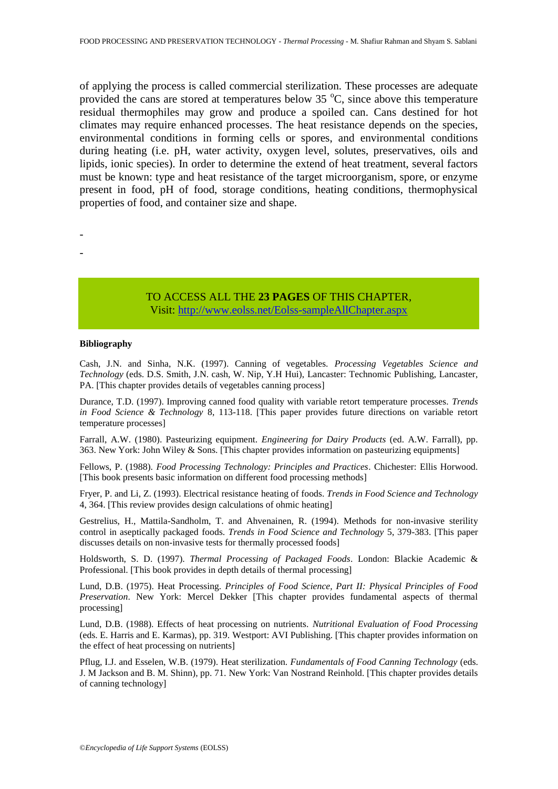of applying the process is called commercial sterilization. These processes are adequate provided the cans are stored at temperatures below  $35\text{ °C}$ , since above this temperature residual thermophiles may grow and produce a spoiled can. Cans destined for hot climates may require enhanced processes. The heat resistance depends on the species, environmental conditions in forming cells or spores, and environmental conditions during heating (i.e. pH, water activity, oxygen level, solutes, preservatives, oils and lipids, ionic species). In order to determine the extend of heat treatment, several factors must be known: type and heat resistance of the target microorganism, spore, or enzyme present in food, pH of food, storage conditions, heating conditions, thermophysical properties of food, and container size and shape.

- -

# TO ACCESS ALL THE **23 PAGES** OF THIS CHAPTER,

Visi[t: http://www.eolss.net/Eolss-sampleAllChapter.aspx](https://www.eolss.net/ebooklib/sc_cart.aspx?File=E5-12-02-01)

#### **Bibliography**

Cash, J.N. and Sinha, N.K. (1997). Canning of vegetables. *Processing Vegetables Science and Technology* (eds. D.S. Smith, J.N. cash, W. Nip, Y.H Hui), Lancaster: Technomic Publishing, Lancaster, PA. [This chapter provides details of vegetables canning process]

Durance, T.D. (1997). Improving canned food quality with variable retort temperature processes. *Trends in Food Science & Technology* 8, 113-118. [This paper provides future directions on variable retort temperature processes]

Farrall, A.W. (1980). Pasteurizing equipment. *Engineering for Dairy Products* (ed. A.W. Farrall), pp. 363. New York: John Wiley & Sons. [This chapter provides information on pasteurizing equipments]

Fellows, P. (1988). *Food Processing Technology: Principles and Practices*. Chichester: Ellis Horwood. [This book presents basic information on different food processing methods]

Fryer, P. and Li, Z. (1993). Electrical resistance heating of foods. *Trends in Food Science and Technology* 4, 364. [This review provides design calculations of ohmic heating]

Gestrelius, H., Mattila-Sandholm, T. and Ahvenainen, R. (1994). Methods for non-invasive sterility control in aseptically packaged foods. *Trends in Food Science and Technology* 5, 379-383. [This paper discusses details on non-invasive tests for thermally processed foods]

Holdsworth, S. D. (1997). *Thermal Processing of Packaged Foods*. London: Blackie Academic & Professional. [This book provides in depth details of thermal processing]

Lund, D.B. (1975). Heat Processing. *Principles of Food Science, Part II: Physical Principles of Food Preservation*. New York: Mercel Dekker [This chapter provides fundamental aspects of thermal processing]

Lund, D.B. (1988). Effects of heat processing on nutrients. *Nutritional Evaluation of Food Processing* (eds. E. Harris and E. Karmas), pp. 319. Westport: AVI Publishing. [This chapter provides information on the effect of heat processing on nutrients]

Pflug, I.J. and Esselen, W.B. (1979). Heat sterilization. *Fundamentals of Food Canning Technology* (eds. J. M Jackson and B. M. Shinn), pp. 71. New York: Van Nostrand Reinhold. [This chapter provides details of canning technology]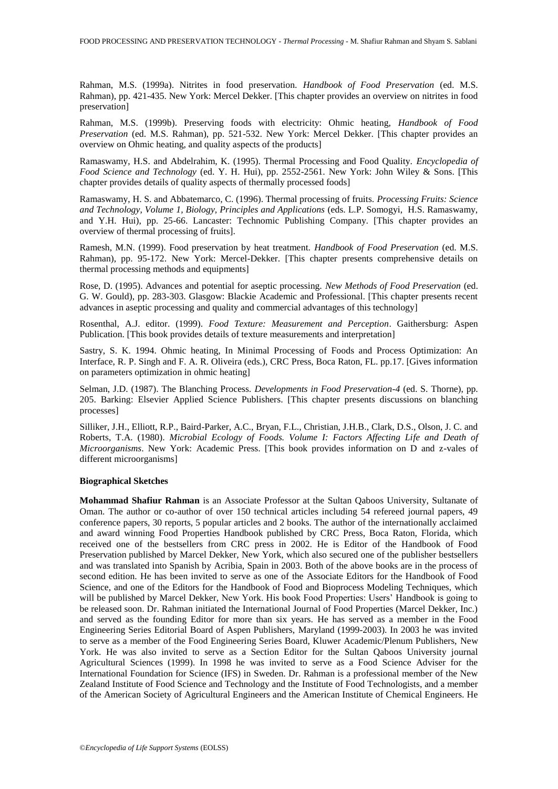Rahman, M.S. (1999a). Nitrites in food preservation. *Handbook of Food Preservation* (ed. M.S. Rahman), pp. 421-435. New York: Mercel Dekker. [This chapter provides an overview on nitrites in food preservation]

Rahman, M.S. (1999b). Preserving foods with electricity: Ohmic heating, *Handbook of Food Preservation* (ed. M.S. Rahman), pp. 521-532. New York: Mercel Dekker. [This chapter provides an overview on Ohmic heating, and quality aspects of the products]

Ramaswamy, H.S. and Abdelrahim, K. (1995). Thermal Processing and Food Quality. *Encyclopedia of Food Science and Technology* (ed. Y. H. Hui), pp. 2552-2561. New York: John Wiley & Sons. [This chapter provides details of quality aspects of thermally processed foods]

Ramaswamy, H. S. and Abbatemarco, C. (1996). Thermal processing of fruits. *Processing Fruits: Science and Technology, Volume 1, Biology, Principles and Applications* (eds. L.P. Somogyi, H.S. Ramaswamy, and Y.H. Hui), pp. 25-66. Lancaster: Technomic Publishing Company. [This chapter provides an overview of thermal processing of fruits].

Ramesh, M.N. (1999). Food preservation by heat treatment. *Handbook of Food Preservation* (ed. M.S. Rahman), pp. 95-172. New York: Mercel-Dekker. [This chapter presents comprehensive details on thermal processing methods and equipments]

Rose, D. (1995). Advances and potential for aseptic processing. *New Methods of Food Preservation* (ed. G. W. Gould), pp. 283-303. Glasgow: Blackie Academic and Professional. [This chapter presents recent advances in aseptic processing and quality and commercial advantages of this technology]

Rosenthal, A.J. editor. (1999). *Food Texture: Measurement and Perception*. Gaithersburg: Aspen Publication. [This book provides details of texture measurements and interpretation]

Sastry, S. K. 1994. Ohmic heating, In Minimal Processing of Foods and Process Optimization: An Interface, R. P. Singh and F. A. R. Oliveira (eds.), CRC Press, Boca Raton, FL. pp.17. [Gives information on parameters optimization in ohmic heating]

Selman, J.D. (1987). The Blanching Process. *Developments in Food Preservation-4* (ed. S. Thorne), pp. 205. Barking: Elsevier Applied Science Publishers. [This chapter presents discussions on blanching processes]

Silliker, J.H., Elliott, R.P., Baird-Parker, A.C., Bryan, F.L., Christian, J.H.B., Clark, D.S., Olson, J. C. and Roberts, T.A. (1980). *Microbial Ecology of Foods. Volume I: Factors Affecting Life and Death of Microorganisms*. New York: Academic Press. [This book provides information on D and z-vales of different microorganisms]

#### **Biographical Sketches**

**Mohammad Shafiur Rahman** is an Associate Professor at the Sultan Qaboos University, Sultanate of Oman. The author or co-author of over 150 technical articles including 54 refereed journal papers, 49 conference papers, 30 reports, 5 popular articles and 2 books. The author of the internationally acclaimed and award winning Food Properties Handbook published by CRC Press, Boca Raton, Florida, which received one of the bestsellers from CRC press in 2002. He is Editor of the Handbook of Food Preservation published by Marcel Dekker, New York, which also secured one of the publisher bestsellers and was translated into Spanish by Acribia, Spain in 2003. Both of the above books are in the process of second edition. He has been invited to serve as one of the Associate Editors for the Handbook of Food Science, and one of the Editors for the Handbook of Food and Bioprocess Modeling Techniques, which will be published by Marcel Dekker, New York. His book Food Properties: Users' Handbook is going to be released soon. Dr. Rahman initiated the International Journal of Food Properties (Marcel Dekker, Inc.) and served as the founding Editor for more than six years. He has served as a member in the Food Engineering Series Editorial Board of Aspen Publishers, Maryland (1999-2003). In 2003 he was invited to serve as a member of the Food Engineering Series Board, Kluwer Academic/Plenum Publishers, New York. He was also invited to serve as a Section Editor for the Sultan Qaboos University journal Agricultural Sciences (1999). In 1998 he was invited to serve as a Food Science Adviser for the International Foundation for Science (IFS) in Sweden. Dr. Rahman is a professional member of the New Zealand Institute of Food Science and Technology and the Institute of Food Technologists, and a member of the American Society of Agricultural Engineers and the American Institute of Chemical Engineers. He